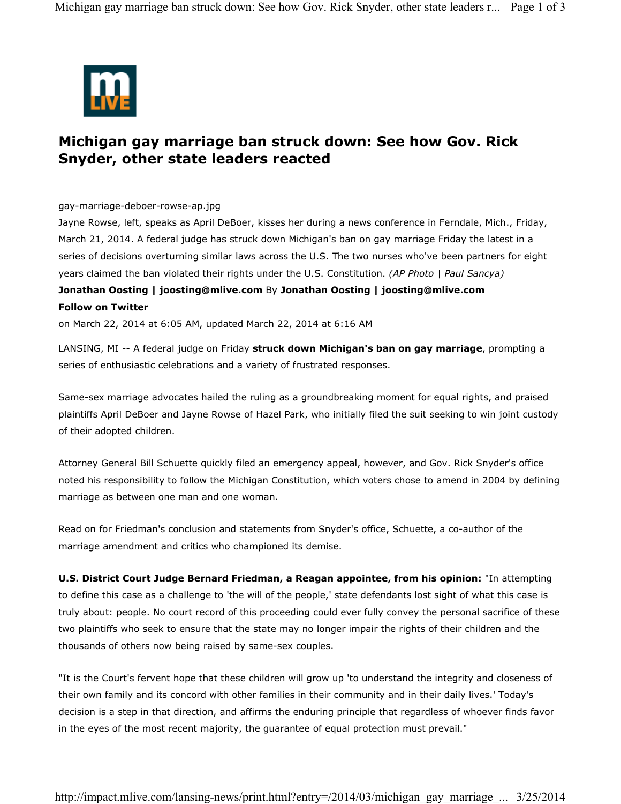

## **Michigan gay marriage ban struck down: See how Gov. Rick Snyder, other state leaders reacted**

gay-marriage-deboer-rowse-ap.jpg

Jayne Rowse, left, speaks as April DeBoer, kisses her during a news conference in Ferndale, Mich., Friday, March 21, 2014. A federal judge has struck down Michigan's ban on gay marriage Friday the latest in a series of decisions overturning similar laws across the U.S. The two nurses who've been partners for eight years claimed the ban violated their rights under the U.S. Constitution. *(AP Photo | Paul Sancya)*

## **Jonathan Oosting | joosting@mlive.com** By **Jonathan Oosting | joosting@mlive.com Follow on Twitter**

on March 22, 2014 at 6:05 AM, updated March 22, 2014 at 6:16 AM

LANSING, MI -- A federal judge on Friday **struck down Michigan's ban on gay marriage**, prompting a series of enthusiastic celebrations and a variety of frustrated responses.

Same-sex marriage advocates hailed the ruling as a groundbreaking moment for equal rights, and praised plaintiffs April DeBoer and Jayne Rowse of Hazel Park, who initially filed the suit seeking to win joint custody of their adopted children.

Attorney General Bill Schuette quickly filed an emergency appeal, however, and Gov. Rick Snyder's office noted his responsibility to follow the Michigan Constitution, which voters chose to amend in 2004 by defining marriage as between one man and one woman.

Read on for Friedman's conclusion and statements from Snyder's office, Schuette, a co-author of the marriage amendment and critics who championed its demise.

**U.S. District Court Judge Bernard Friedman, a Reagan appointee, from his opinion:** "In attempting to define this case as a challenge to 'the will of the people,' state defendants lost sight of what this case is truly about: people. No court record of this proceeding could ever fully convey the personal sacrifice of these two plaintiffs who seek to ensure that the state may no longer impair the rights of their children and the thousands of others now being raised by same-sex couples.

"It is the Court's fervent hope that these children will grow up 'to understand the integrity and closeness of their own family and its concord with other families in their community and in their daily lives.' Today's decision is a step in that direction, and affirms the enduring principle that regardless of whoever finds favor in the eyes of the most recent majority, the guarantee of equal protection must prevail."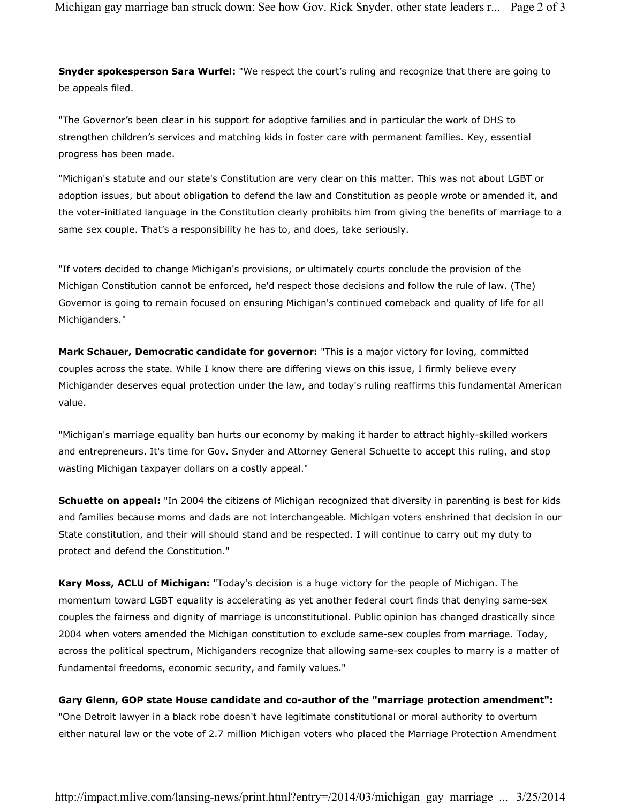**Snyder spokesperson Sara Wurfel:** "We respect the court's ruling and recognize that there are going to be appeals filed.

"The Governor's been clear in his support for adoptive families and in particular the work of DHS to strengthen children's services and matching kids in foster care with permanent families. Key, essential progress has been made.

"Michigan's statute and our state's Constitution are very clear on this matter. This was not about LGBT or adoption issues, but about obligation to defend the law and Constitution as people wrote or amended it, and the voter-initiated language in the Constitution clearly prohibits him from giving the benefits of marriage to a same sex couple. That's a responsibility he has to, and does, take seriously.

"If voters decided to change Michigan's provisions, or ultimately courts conclude the provision of the Michigan Constitution cannot be enforced, he'd respect those decisions and follow the rule of law. (The) Governor is going to remain focused on ensuring Michigan's continued comeback and quality of life for all Michiganders."

**Mark Schauer, Democratic candidate for governor:** "This is a major victory for loving, committed couples across the state. While I know there are differing views on this issue, I firmly believe every Michigander deserves equal protection under the law, and today's ruling reaffirms this fundamental American value.

"Michigan's marriage equality ban hurts our economy by making it harder to attract highly-skilled workers and entrepreneurs. It's time for Gov. Snyder and Attorney General Schuette to accept this ruling, and stop wasting Michigan taxpayer dollars on a costly appeal."

**Schuette on appeal:** "In 2004 the citizens of Michigan recognized that diversity in parenting is best for kids and families because moms and dads are not interchangeable. Michigan voters enshrined that decision in our State constitution, and their will should stand and be respected. I will continue to carry out my duty to protect and defend the Constitution."

**Kary Moss, ACLU of Michigan:** "Today's decision is a huge victory for the people of Michigan. The momentum toward LGBT equality is accelerating as yet another federal court finds that denying same-sex couples the fairness and dignity of marriage is unconstitutional. Public opinion has changed drastically since 2004 when voters amended the Michigan constitution to exclude same-sex couples from marriage. Today, across the political spectrum, Michiganders recognize that allowing same-sex couples to marry is a matter of fundamental freedoms, economic security, and family values."

## **Gary Glenn, GOP state House candidate and co-author of the "marriage protection amendment":**

"One Detroit lawyer in a black robe doesn't have legitimate constitutional or moral authority to overturn either natural law or the vote of 2.7 million Michigan voters who placed the Marriage Protection Amendment